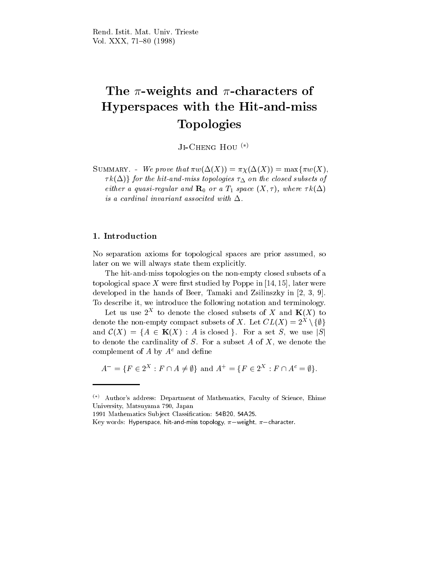# The -weights and -characters of Hyperspaces with the Hit-and-miss Topologies

JI-UHENG HOU \ /

SUMMARY. - We prove that  $\pi w(\Delta(X)) = \pi \chi(\Delta(X)) = \max{\pi w(X)}$ .  $\{\tau k(\Delta)\}\$  for the hit-and-miss topologies  $\tau_{\Delta}$  on the closed subsets of either a quasi-regular and  $\mathbf{R}_0$  or a  $T_1$  space  $(X, \tau)$ , where  $\tau k(\Delta)$ is a cardinal invariant associted with  $\Delta$ .

# 1. Introduction

No separation axioms for topological spaces are prior assumed, so later on we will always state them explicitly.

The hit-and-miss topologies on the non-empty closed subsets of a topological space X were first studied by Poppe in  $[14, 15]$ , later were developed in the hands of Beer, Tamaki and Zsilinszky in [2, 3, 9]. To describe it, we introduce the following notation and terminology.

Let us use  $Z^*$  to denote the closed subsets of  $\Lambda$  and  $\mathbf{N}(\Lambda)$  to denote the non-empty compact subsets of  $\Lambda$ . Let  $CL(\Lambda)=2^{\sim}\setminus\{\psi\}$ and  $\mathcal{C}(X) = \{A \in \mathbf{K}(X) : A \text{ is closed }\}.$  For a set S, we use  $|S|$ to denote the cardinality of  $S$ . For a subset  $A$  of  $X$ , we denote the complement of A by  $A^c$  and define

$$
A^- = \{ F \in 2^X : F \cap A \neq \emptyset \} \text{ and } A^+ = \{ F \in 2^X : F \cap A^c = \emptyset \}.
$$

 $(*)$  Author's address: Department of Mathematics, Faculty of Science, Ehime University, Matsuyama 790, Japan

<sup>1991</sup> Mathematics Subject Classification: 54B20, 54A25.

Key words: Hyperspace, hit-and-miss topology,  $\pi$ -weight,  $\pi$ -character.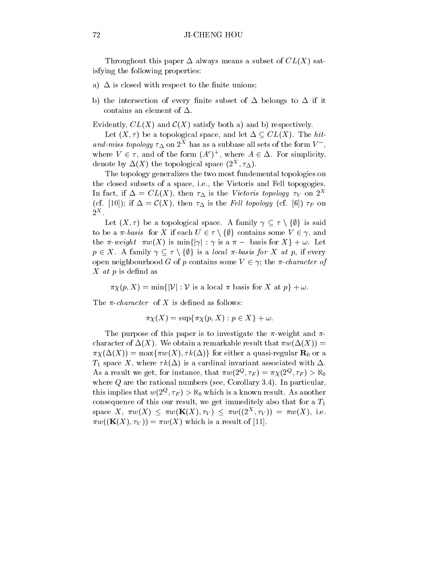Throughout this paper  $\Delta$  always means a subset of  $CL(X)$  satisfying the following properties:

- a)  $\Delta$  is closed with respect to the finite unions;
- b) the intersection of every finite subset of  $\Delta$  belongs to  $\Delta$  if it contains an element of  $\Delta$ .

Evidently,  $CL(X)$  and  $C(X)$  satisfy both a) and b) respectively.

Let  $(X, \tau)$  be a topological space, and let  $\Delta \subseteq CL(X)$ . The hitand-miss topology  $\tau_{\Delta}$  on 2<sup>2</sup> has as a subbase all sets of the form  $V_{-}$ , where  $V \in \tau$ , and of the form  $(A^*)$ , where  $A \in \Delta$ . For simplicity, denote by  $\Delta(X)$  the topological space  $(Z, \tau_{\Delta})$ .

The topology generalizes the two most fundemental topologies on the closed subsets of a space, i.e., the Vietoris and Fell topogogies. In fact, if  $\Delta = CL(X)$ , then  $\tau_{\Delta}$  is the Vietoris topology  $\tau_V$  on  $2^X$ (cf. [10]); if  $\Delta = \mathcal{C}(X)$ , then  $\tau_{\Delta}$  is the Fell topology (cf. [6])  $\tau_F$  on  $2^X$ .

Let  $(X, \tau)$  be a topological space. A family  $\gamma \subseteq \tau \setminus \{\emptyset\}$  is said to be a  $\pi$ -basis for X if each  $U \in \tau \setminus \{\emptyset\}$  contains some  $V \in \gamma$ , and the  $\pi$ -weight  $\pi w(X)$  is  $\min\{|\gamma| : \gamma \text{ is a } \pi - \text{ basis for } X\} + \omega$ . Let  $p \in X$ . A family  $\gamma \subseteq \tau \setminus \{\emptyset\}$  is a local  $\pi$ -basis for X at p, if every open neighbourhood G of p contains some  $V \in \gamma$ ; the  $\pi$ -character of  $X$  *at*  $p$  is defind as

 $\pi \chi(p, X) = \min\{|\mathcal{V}| : \mathcal{V} \text{ is a local } \pi \text{ basis for } X \text{ at } p\} + \omega.$ 

The  $\pi$ -character of X is defined as follows:

$$
\pi \chi(X) = \sup \{ \pi \chi(p, X) : p \in X \} + \omega.
$$

The purpose of this paper is to investigate the  $\pi$ -weight and  $\pi$ character of  $\Delta(X)$ . We obtain a remarkable result that  $\pi w(\Delta(X)) =$  $\pi \chi(\Delta(X)) = \max{\pi w(X), \tau k(\Delta)}$  for either a quasi-regular  $\mathbf{R}_0$  or a  $T_1$  space X, where  $\tau k(\Delta)$  is a cardinal invariant associated with  $\Delta$ . As a result we get, for instance, that  $\pi w(z^*, \tau_F) = \pi \chi(z^*, \tau_F) > \kappa_0$ where Q are the rational numbers (see, Corollary 3.4). In particular, this implies that  $w(z^*, \tau_F) > \kappa_0$  which is a known result. As another consequence of this our result, we get immeditely also that for a  $T_1$ space  $\Lambda$ ,  $\pi w(\Lambda) \leq \pi w(\mathbf{R}(\Lambda), \tau_V) \leq \pi w((2^{\circ}, \tau_V)) = \pi w(\Lambda)$ , i.e.  $\pi w((\mathbf{K}(X), \tau_V)) = \pi w(X)$  which is a result of [11].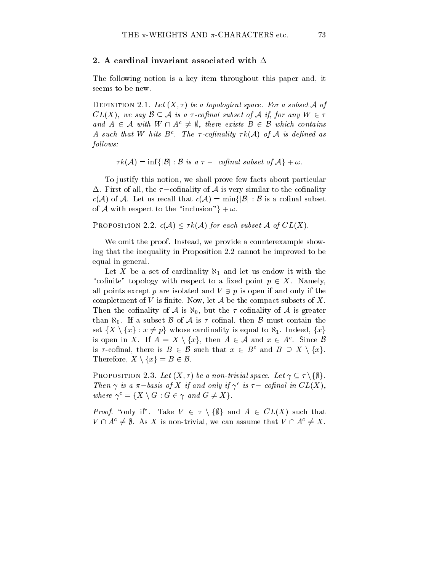# 2. A cardinal invariant associated with  $\Delta$

The following notion is a key item throughout this paper and, it seems to be new.

DEFINITION 2.1. Let  $(X, \tau)$  be a topological space. For a subset A of  $CL(X)$ , we say  $\mathcal{B} \subseteq \mathcal{A}$  is a  $\tau$ -cofinal subset of  $\mathcal{A}$  if, for any  $W \in \tau$ and  $A \in \mathcal{A}$  with  $W \cap A^c \neq \emptyset$ , there exists  $B \in \mathcal{B}$  which contains A such that W hits  $B^{\pi}$ . The  $\tau$ -connaitly  $\tau \kappa(\mathcal{A})$  of  $\mathcal{A}$  is denned as follows:

$$
\tau k(\mathcal{A}) = \inf \{ |\mathcal{B}| : \mathcal{B} \,\, \text{is a}\,\, \tau-\, \,\, \text{cofinal subset of}\,\, \mathcal{A} \} + \omega.
$$

To justify this notion, we shall prove few factsabout particular  $\Delta$ . First of all, the  $\tau$ -cofinality of A is very similar to the cofinality  $c(\mathcal{A})$  of  $\mathcal{A}$ . Let us recall that  $c(\mathcal{A}) = \min\{|\mathcal{B}| : \mathcal{B}$  is a cofinal subset of A with respect to the "inclusion" }  $+ \omega$ .

PROPOSITION 2.2.  $c(A) \leq \tau k(A)$  for each subset A of  $CL(X)$ .

We omit the proof. Instead, we provide a counterexample showing that the inequality in Proposition 2.2 cannot be improved to be equal in general.

Let X be a set of cardinality  $\aleph_1$  and let us endow it with the "cofinite" topology with respect to a fixed point  $p \in X$ . Namely, all points except p are isolated and  $V \ni p$  is open if and only if the completment of V is finite. Now, let  $A$  be the compact subsets of X. Then the cofinality of A is  $\aleph_0$ , but the  $\tau$ -cofinality of A is greater than  $\aleph_0$ . If a subset B of A is  $\tau$ -cofinal, then B must contain the set  $\{X \setminus \{x\} : x \neq p\}$  whose cardinality is equal to  $\aleph_1$ . Indeed,  $\{x\}$ is open in  $\Lambda$ . If  $A = \Lambda \setminus \{x\}$ , then  $A \in \mathcal{A}$  and  $x \in A$ . Since  $\mathcal{D}$ is  $\tau$ -cofinal, there is  $B \in \mathcal{B}$  such that  $x \in B^c$  and  $B \supseteq X \setminus \{x\}.$ Therefore,  $X \setminus \{x\} = B \in \mathcal{B}$ .

PROPOSITION 2.3. Let  $(X, \tau)$  be a non-trivial space. Let  $\gamma \subseteq \tau \setminus \{\emptyset\}.$ Then  $\gamma$  is a  $\pi$ -basis of  $\Lambda$  if and only if  $\gamma$  is  $\tau$ -connal in  $CL(\Lambda)$ , where  $\gamma^c = \{X \setminus G : G \in \gamma \text{ and } G \neq X\}.$ 

*Proof.* "only if". Take  $V \in \tau \setminus \{\emptyset\}$  and  $A \in CL(X)$  such that  $V \cap A^c \neq \emptyset$ . As X is non-trivial, we can assume that  $V \cap A^c \neq X$ .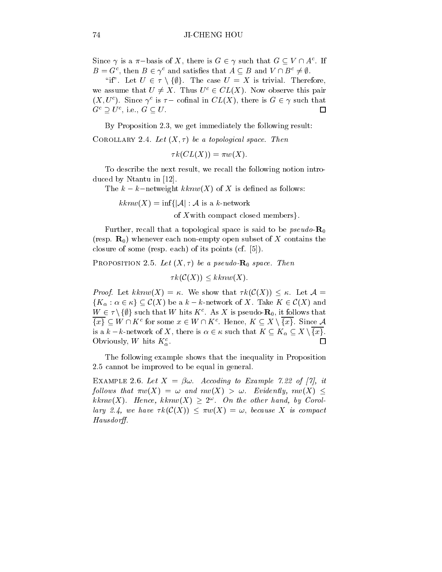Since  $\gamma$  is a  $\pi$  - pasis of  $\Lambda$ , there is  $G \in \gamma$  such that  $G \subseteq V \sqcup A^*$ . If  $B = G^*$ , then  $B \in \gamma^*$  and satisfies that  $A \subseteq B$  and  $V \sqcup B^* \neq \emptyset$ .

"if". Let  $U \in \tau \setminus \{\emptyset\}$ . The case  $U = X$  is trivial. Therefore, we assume that  $U \neq X$ . Thus  $U^c \in CL(X)$ . Now observe this pair  $(\Lambda, U)$ . Since  $\gamma$  is  $\tau =$  connal in  $\cup L(\Lambda)$ , there is  $G \in \gamma$  such that  $\Box$  $G^{\circ} \supset U^{\circ}$ , i.e.,  $G \subseteq U$ .

By Proposition 2.3, we get immediately the following result:

COROLLARY 2.4. Let  $(X, \tau)$  be a topological space. Then

 $\tau k(CL(X)) = \pi w(X).$ 

To describe the next result, we recall the following notion introduced by Ntantu in [12].

The  $k - k$ -netweight  $kknw(X)$  of X is defined as follows:

 $kknw(X) = \inf\{|\mathcal{A}| : \mathcal{A}$  is a k-network

of Xwith compact closed members.

Further, recall that a topological space is said to be *pseudo*- $\mathbf{R}_0$ (resp.  $\mathbf{R}_0$ ) whenever each non-empty open subset of X contains the closure of some (resp. each) of its points (cf. [5]).

PROPOSITION 2.5. Let  $(X, \tau)$  be a pseudo- $\mathbf{R}_0$  space. Then

 $\tau k(\mathcal{C}(X)) \leq kknw(X).$ 

*Proof.* Let  $kknw(X) = \kappa$ . We show that  $\tau k(\mathcal{C}(X)) \leq \kappa$ . Let  $\mathcal{A} =$  ${K_\alpha : \alpha \in \kappa} \subseteq C(X)$  be a  $k - k$ -network of X. Take  $K \in C(X)$  and  $W \in \mathcal{T} \setminus \{ \psi \}$  such that W hits  $K^{\perp}$ . As  $\Lambda$  is pseudo- $\mathbf{R}_0$ , it follows that  $\{x\} \subseteq W \sqcup \Lambda$  for some  $x \in W \sqcup \Lambda$ . Hence,  $\Lambda \subseteq \Lambda \setminus \{x\}$ . Since A is a  $k - k$ -network of X, there is  $\alpha \in \kappa$  such that  $K \subseteq K_\alpha \subseteq X \setminus \{x\}.$ Obviously, W hits  $K_{\alpha}^{c}$ .  $\Box$ 

The following example shows that the inequality in Proposition 2.5 cannot be improved to be equal in general.

EXAMPLE 2.6. Let  $X = \beta \omega$ . Accoding to Example 7.22 of [7], it follows that  $\pi w(X) = \omega$  and  $nw(X) > \omega$ . Evidently,  $nw(X) \leq$  $\kappa \kappa n$ w( $\Lambda$ ). Hence,  $\kappa \kappa n$ w( $\Lambda$ )  $\geq$  2. On the other hand, by Corollary 2.4, we have  $\tau k(\mathcal{C}(X)) \leq \pi w(X) = \omega$ , because X is compact Hausdorff.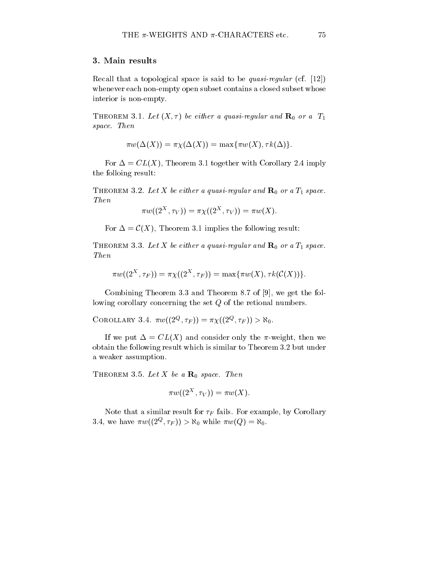# 3. Main results

Recall that a topological space is said to be *quasi-regular* (cf.  $[12]$ ) whenever each non-empty open subset contains a closed subset whose interior is non-empty.

THEOREM 3.1. Let  $(X, \tau)$  be either a quasi-regular and  $\mathbf{R}_0$  or a  $T_1$ space. Then

$$
\pi w(\Delta(X)) = \pi \chi(\Delta(X)) = \max{\pi w(X), \tau k(\Delta)}.
$$

For  $\Delta = CL(X)$ , Theorem 3.1 together with Corollary 2.4 imply the folloing result:

THEOREM 3.2. Let X be either a quasi-regular and  $\mathbf{R}_0$  or a  $T_1$  space. Then

$$
\pi w((2^X,\tau_V))=\pi\chi((2^X,\tau_V))=\pi w(X).
$$

For  $\Delta = \mathcal{C}(X)$ , Theorem 3.1 implies the following result:

THEOREM 3.3. Let X be either a quasi-regular and  $\mathbf{R}_0$  or a  $T_1$  space. Then

$$
\pi w((2^X,\tau_F))=\pi \chi((2^X,\tau_F))=\max\{\pi w(X),\tau k(\mathcal{C}(X))\}.
$$

Combining Theorem 3.3 and Theorem 8.7 of [9], we get the following corollary concerning the set Q of the retional numbers.

COROLLARY 3.4.  $\pi w((2^{\circ}, T_F)) = \pi \chi((2^{\circ}, T_F)) \geq \kappa_0$ .

If we put  $\Delta = CL(X)$  and consider only the  $\pi$ -weight, then we obtain the following result which is similar to Theorem 3.2 but under a weaker assumption.

THEOREM 3.5. Let X be a  $\mathbf{R}_0$  space. Then

$$
\pi w((2^X,\tau_V))=\pi w(X).
$$

Note that a similar result for  $\tau_F$  fails. For example, by Corollary 3.4, we have  $\pi w((2^{\circ}, \tau_F)) \geq \kappa_0$  while  $\pi w(Q) = \kappa_0$ .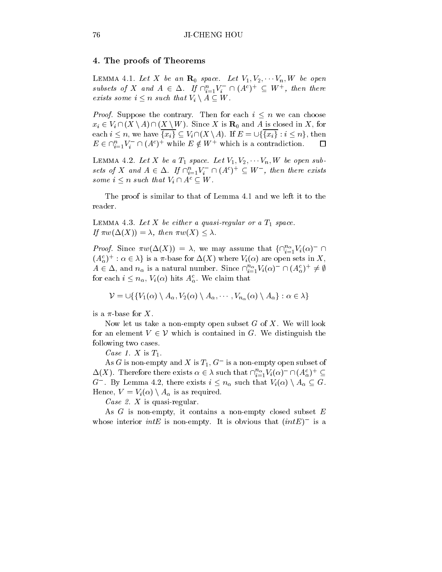# 4. The proofs of Theorems

LEMMA 4.1. Let X be an  $\mathbf{R}_0$  space. Let  $V_1, V_2, \cdots V_n, W$  be open subsets of  $X$  and  $A \in \Delta$ . If  $\prod_{i=1}^n V_i$  if  $(A^c)^+ \subseteq W^+$ , then there exists some  $i \leq n$  such that  $V_i \setminus A \subseteq W$ .

*Proof.* Suppose the contrary. Then for each  $i \leq n$  we can choose  $x_i \in V_i \cap (X \setminus A) \cap (X \setminus W)$ . Since X is  $\mathbf{R}_0$  and A is closed in X, for each  $i \leq n$ , we have  $\{x_i\} \subseteq V_i \cap (X \setminus A)$ . If  $E = \bigcup \{\{x_i\} : i \leq n\}$ , then  $E \in \bigcup_{i=1}^{n} V_i$   $\sqcup (A^c)^+$  while  $E \notin W^+$  which is a contradiction.

LEMMA 4.2. Let X be a  $T_1$  space. Let  $V_1, V_2, \cdots V_n, W$  be open subsets of  $X$  and  $A \in \Delta$ . If  $\bigcup_{i=1}^n V_i \cap \bigcup_{i=1}^{\infty} V_i$  , then there exists some  $i \leq n$  such that  $V_i \cap A^c \subseteq W$ .

The proof is similar to that of Lemma 4.1 and we left it to the reader.

LEMMA 4.3. Let  $X$  be either a quasi-regular or a  $T_1$  space. If  $\pi w(\Delta(X)) = \lambda$ , then  $\pi w(X) \leq \lambda$ .

*Proof.* Since  $\pi w(\Delta(X)) = \lambda$ , we may assume that  $\{\prod_{i=1}^{\infty}V_i(\alpha) \mid \alpha\in \mathbb{R}$  $(A_{\alpha})^{\dagger}$ :  $\alpha \in \lambda$  is a  $\pi$ -base for  $\Delta(\Lambda)$  where  $V_i(\alpha)$  are open sets in  $\Lambda$ ,  $A \in \Delta$ , and  $n_{\alpha}$  is a natural number. Since  $\prod_{i=1}^{n} V_i(\alpha)$  and  $(A_{\alpha}^*)^{\top} \neq \emptyset$ for each  $i \leq n_{\alpha}$ ,  $V_i(\alpha)$  hits  $A_{\alpha}^c$ . We claim that

$$
\mathcal{V} = \bigcup \{ \{ V_1(\alpha) \setminus A_\alpha, V_2(\alpha) \setminus A_\alpha, \cdots, V_{n_\alpha}(\alpha) \setminus A_\alpha \} : \alpha \in \lambda \}
$$

is a  $\pi$ -base for X.

Now let us take a non-empty open subset  $G$  of  $X$ . We will look for an element  $V \in V$  which is contained in G. We distinguish the following two cases.

Case 1. X is  $T_1$ .

As G is non-empty and  $\Lambda$  is  $T_1, G$  is a non-empty open subset of  $\Delta(A)$ . Therefore there exists  $\alpha \in \lambda$  such that  $\prod_{i=1}^{n}V_i(\alpha) \cap (A_{\alpha}^*)^{\perp} \subseteq$ G  $\,$  . By Lemma 4.2, there exists  $i \leq n_{\alpha}$  such that  $V_i(\alpha) \setminus A_{\alpha} \subseteq G$ . Hence,  $V = V_i(\alpha) \setminus A_\alpha$  is as required.

Case 2. X is quasi-regular.

As  $G$  is non-empty, it contains a non-empty closed subset  $E$ whose interior  $m\nu$  is non-empty. It is obvious that  $(m\nu)$  is a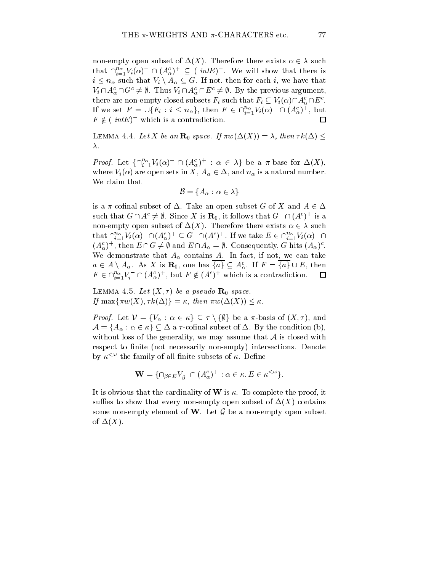non-empty open subset of  $\Delta(X)$ . Therefore there exists  $\alpha \in \lambda$  such that  $\prod_{i=1}^{\infty}V_i(\alpha)$   $\prod (A_\alpha^{\vee})^{\perp} \subseteq ($  *intE*). We will show that there is  $i \leq n_{\alpha}$  such that  $V_i \setminus A_{\alpha} \subseteq G$ . If not, then for each i, we have that  $V_i \cap A_{\alpha}^c \cap G^c \neq \emptyset$ . Thus  $V_i \cap A_{\alpha}^c \cap E^c \neq \emptyset$ . By the previous argument, there are non-empty closed subsets  $F_i$  such that  $F_i \subseteq V_i(\alpha) \cap A_{\alpha}^c \cap E^c$ . If we set  $F = \bigcup \{F_i : i \leq n_\alpha\}$ , then  $F \in \bigcup_{i=1}^\infty V_i(\alpha) \cup \bigcup \{A_\alpha^\alpha\big\}$ , but  $F \notin (intE)^-$  which is a contradiction.  $\Box$ 

LEMMA 4.4. Let X be an  $\mathbf{R}_0$  space. If  $\pi w(\Delta(X)) = \lambda$ , then  $\tau k(\Delta) \leq$  $\lambda$ .

*Proof.* Let  $\{ \prod_{i=1}^{\infty} V_i(\alpha) \mid \prod_{i=1}^{\infty} A_{\alpha}\}$  is  $\alpha \in \lambda$  be a  $\pi$ -base for  $\Delta(X)$ , where  $V_i(\alpha)$  are open sets in X,  $A_\alpha \in \Delta$ , and  $n_\alpha$  is a natural number. We claim that

$$
\mathcal{B} = \{A_{\alpha} : \alpha \in \lambda\}
$$

is a  $\pi$ -cofinal subset of  $\Delta$ . Take an open subset G of X and  $A \in \Delta$ such that  $G \cap A^* \neq \emptyset$ . Since  $A$  is  $\mathbf{R}_0$ , it follows that  $G \cap (A^*)^+$  is a non-empty open subset of  $\Delta(X)$ . Therefore there exists  $\alpha \in \lambda$  such that  $\bigcap_{i=1}^{n}V_i(\alpha)$   $\bigcap_{i=1}^{n}V_{\alpha}\big)$   $\subseteq G$   $\bigcap_{i=1}^{n}(A^c)$ . If we take  $E \in \bigcap_{i=1}^{n}V_i(\alpha)$   $\bigcap$  $(A_{\alpha})^{\dagger}$ , then  $E \cap G \neq \emptyset$  and  $E \cap A_{\alpha} = \emptyset$ . Consequently, G hits  $(A_{\alpha})^{\dagger}$ . We demonstrate that  $A_{\alpha}$  contains A. In fact, if not, we can take  $a \in A \setminus A_\alpha$ . As X is  $\mathbf{R}_0$ , one has  $\{a\} \subseteq A_\alpha^c$ . If  $F = \{a\} \cup E$ , then  $F \in \bigcup_{i=1}^{\infty} V_i$   $\sqcup (A_{\alpha}^{\circ})^{\perp}$ , but  $F \notin (A^{\circ})^{\perp}$  which is a contradiction.  $\sqsubset$ 

LEMMA 4.5. Let  $(X, \tau)$  be a pseudo- $\mathbf{R}_0$  space. If max $\{\pi w(X), \tau k(\Delta)\} = \kappa$ , then  $\pi w(\Delta(X)) \leq \kappa$ .

*Proof.* Let  $V = \{V_{\alpha} : \alpha \in \kappa\} \subseteq \tau \setminus \{\emptyset\}$  be a  $\pi$ -basis of  $(X, \tau)$ , and  $\mathcal{A} = \{A_\alpha : \alpha \in \kappa\} \subseteq \Delta$  a  $\tau$ -cofinal subset of  $\Delta$ . By the condition (b), without loss of the generality, we may assume that  $A$  is closed with respect to finite (not necessarily non-empty) intersections. Denote by  $\kappa^{\langle\omega\rangle}$  the family of all finite subsets of  $\kappa$ . Define

$$
\mathbf{W} = \{ \cap_{\beta \in E} V_{\beta}^- \cap (A_{\alpha}^c)^+ : \alpha \in \kappa, E \in \kappa^{<\omega} \}.
$$

It is obvious that the cardinality of  $W$  is  $\kappa$ . To complete the proof, it suffies to show that every non-empty open subset of  $\Delta(X)$  contains some non-empty element of W. Let  $\mathcal G$  be a non-empty open subset of  $\Delta(X)$ .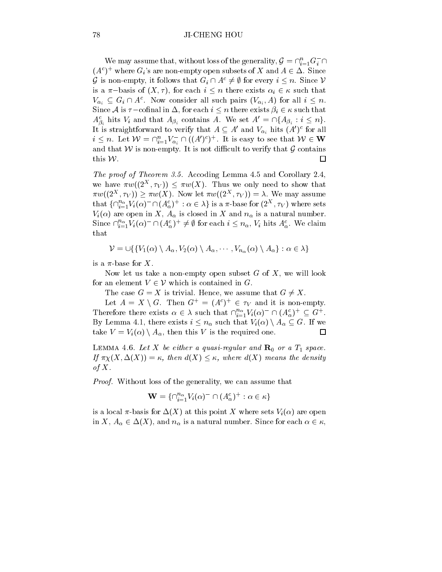### 78 JI-CHENG HOU

We may assume that, without loss of the generality,  $\mathcal{G} = \prod_{i=1}^n G_i + 1$  $(A<sup>c</sup>)<sup>+</sup>$  where  $G<sub>i</sub>$ 's are non-empty open subsets of X and  $A \in \Delta$ . Since G is non-empty, it follows that  $G_i \cap A^c \neq \emptyset$  for every  $i \leq n$ . Since V is a  $\pi$ -basis of  $(X, \tau)$ , for each  $i \leq n$  there exists  $\alpha_i \in \kappa$  such that  $V_{\alpha_i} \subseteq G_i \sqcup A$ . Now consider all such pairs  $(V_{\alpha_i}, A)$  for all  $i \leq n$ . Since A is  $\tau$ -cofinal in  $\Delta$ , for each  $i \leq n$  there exists  $\beta_i \in \kappa$  such that  $A_{\beta_i}^c$  hits  $V_i$  and that  $A_{\beta_i}$  contains A. We set  $A' = \bigcap \{A_{\beta_i} : i \leq n\}.$ It is straightforward to verify that  $A \subseteq A$  and  $V_{\alpha_i}$  nits  $(A)$  for all  $i \leq n$ . Let  $\mathcal{W} = \prod_{i=1}^n V_{\alpha_i} \cup ((A_1)^*)$ . It is easy to see that  $\mathcal{W} \in \mathbf{W}$ and that  $W$  is non-empty. It is not difficult to verify that  $G$  contains this W.  $\Box$ 

The proof of Theorem 3.5. Accoding Lemma 4.5 and Corollary 2.4, we have  $\pi w((2^+, \tau_V)) \leq \pi w(\Lambda)$ . Thus we only need to show that  $\pi w((2^{\infty}, \tau_V)) \geq \pi w(\Lambda)$ . Now let  $\pi w((2^{\infty}, \tau_V)) = \Lambda$ . We may assume that  $\{ \Box_{i=1}^{\infty} V_i(\alpha) \cap \Box(\Lambda_{\alpha}^{\infty}) \ : \alpha \in \Lambda \}$  is a  $\pi$ -base for  $(2^{**}, \tau_V)$  where sets  $V_i(\alpha)$  are open in X,  $A_{\alpha}$  is closed in X and  $n_{\alpha}$  is a natural number. Since  $\prod_{i=1}^{n} V_i(\alpha)$   $\prod (A_{\alpha}^{\infty})^+ \neq \emptyset$  for each  $i \leq n_{\alpha}$ ,  $V_i$  hits  $A_{\alpha}^{\infty}$ . We claim that

$$
\mathcal{V} = \bigcup \{ \{ V_1(\alpha) \setminus A_\alpha, V_2(\alpha) \setminus A_\alpha, \cdots, V_{n_\alpha}(\alpha) \setminus A_\alpha \} : \alpha \in \lambda \}
$$

is a  $\pi$ -base for X.

Now let us take a non-empty open subset  $G$  of  $X$ , we will look for an element  $V \in \mathcal{V}$  which is contained in G.

The case  $G = X$  is trivial. Hence, we assume that  $G \neq X$ .

Let  $A = X \setminus G$ . Then  $G^+ = (A^c)^+ \in \tau_V$  and it is non-empty. Therefore there exists  $\alpha \in \lambda$  such that  $\prod_{i=1}^n V_i(\alpha) \cap (A_{\alpha}^{\lambda})^+ \subseteq G^+$ . By Lemma 4.1, there exists  $i \leq n_\alpha$  such that  $V_i(\alpha) \setminus A_\alpha \subseteq G$ . If we take  $V = V_i(\alpha) \setminus A_\alpha$ , then this V is the required one.  $\Box$ 

LEMMA 4.6. Let X be either a quasi-regular and  $\mathbf{R}_0$  or a  $T_1$  space. If  $\pi_X(X, \Delta(X)) = \kappa$ , then  $d(X) \leq \kappa$ , where  $d(X)$  means the density of  $X$ .

Proof. Without loss of the generality, we can assume that

$$
\mathbf{W} = \{ \cap_{i=1}^{n_{\alpha}} V_i(\alpha)^- \cap (A_{\alpha}^c)^+ : \alpha \in \kappa \}
$$

is a local  $\pi$ -basis for  $\Delta(X)$  at this point X where sets  $V_i(\alpha)$  are open in X,  $A_{\alpha} \in \Delta(X)$ , and  $n_{\alpha}$  is a natural number. Since for each  $\alpha \in \kappa$ ,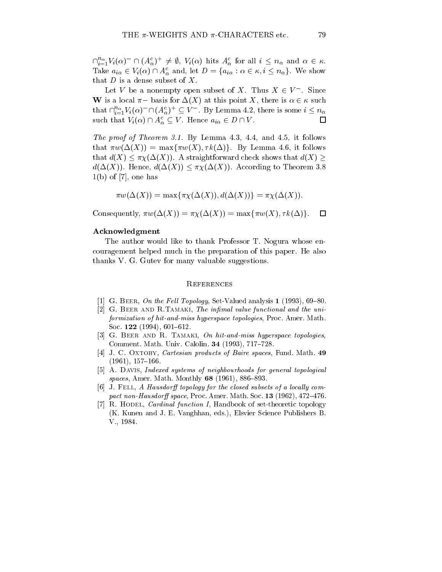$\bigcup_{i=1}^{n}V_i(\alpha)$   $\Box$   $(A_{\alpha}^{\alpha})^{\perp}\neq \emptyset$ ,  $V_i(\alpha)$  nits  $A_{\alpha}^{\alpha}$  for all  $i \leq n_{\alpha}$  and  $\alpha \in \kappa$ . Take  $a_{i\alpha} \in V_i(\alpha) \cap A_{\alpha}^c$  and, let  $D = \{a_{i\alpha} : \alpha \in \kappa, i \leq n_\alpha\}$ . We show that  $D$  is a dense subset of  $X$ .

Let v be a nonempty open subset of  $\Lambda$ . Thus  $\Lambda \in V$  . Since W is a local  $\pi$ -basis for  $\Delta(X)$  at this point X, there is  $\alpha \in \kappa$  such that  $\bigcap_{i=1}^{n}V_i(\alpha)\mid \bigcap (A_{\alpha}^{\vee})^{\perp} \subseteq V$  . By Lemma 4.2, there is some  $i \leq n_{\alpha}$ such that  $V_i(\alpha) \cap A_{\alpha}^c \subseteq V$ . Hence  $a_{i\alpha} \in D \cap V$ .  $\Box$ 

The proof of Theorem 3.1. By Lemma 4.3, 4.4, and 4.5, it follows that  $\pi w(\Delta(X)) = \max{\pi w(X), \tau k(\Delta)}$ . By Lemma 4.6, it follows that  $d(X) \leq \pi \chi(\Delta(X))$ . A straightforward check shows that  $d(X) \geq$  $d(\Delta(X))$ . Hence,  $d(\Delta(X)) \leq \pi \chi(\Delta(X))$ . According to Theorem 3.8  $1(b)$  of [7], one has

$$
\pi w(\Delta(X)) = \max{\pi \chi(\Delta(X)), d(\Delta(X))} = \pi \chi(\Delta(X)).
$$

Consequently,  $\pi w(\Delta(X)) = \pi \chi(\Delta(X)) = \max{\pi w(X), \tau k(\Delta)}$ .  $\Box$ 

#### Acknowledgment

The author would like to thank Professor T. Nogura whose encouragement helped much in the preparation of this paper. He also thanks V. G. Gutev for many valuable suggestions.

- [1] G. BEER, On the Fell Topology, Set-Valued analysis 1 (1993), 69-80.
- [2] G. BEER AND R.TAMAKI, The infimal value functional and the uniformization of hit-and-miss hyperspace topologies, Proc. Amer. Math. Soc. 122 (1994),  $601–612$ .
- [3] G. BEER AND R. TAMAKI,  $\mathcal{O}_n$  hit-and-miss hyperspace topologies, Comment. Math. Univ. Calolin. 34 (1993), 717-728.
- [4] J. C. OXTOBY, *Cartesian products of Baire spaces*, Fund. Math. 49  $(1961), 157–166.$
- [5] A. DAVIS, *Indexed systems of neighbourhoods for general topological* spaces, Amer. Math. Monthly  $68$  (1961), 886-893.
- [6] J. FELL, A Hausdorff topology for the closed subsets of a locally compact non-Hausdorff space, Proc. Amer. Math. Soc. 13 (1962),  $472-476$ .
- [7] R. HODEL, *Cardinal function I*, Handbook of set-theoretic topology (K. Kunen and J. E. Vanghhan, eds.), Elsvier Science Publishers B. V., 1984.